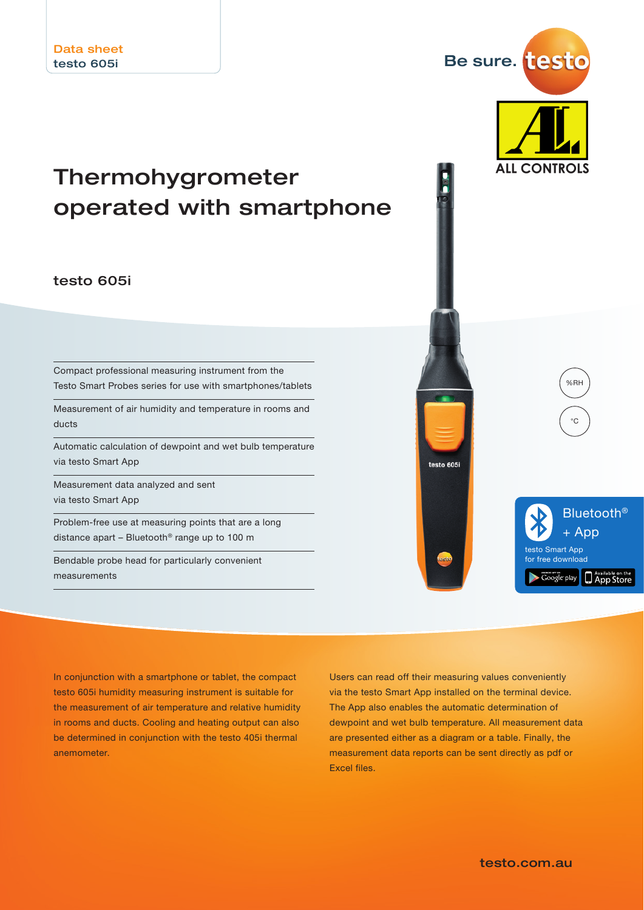# Thermohygrometer operated with smartphone

### testo 605i

Compact professional measuring instrument from the Testo Smart Probes series for use with smartphones/tablets

Measurement of air humidity and temperature in rooms and ducts

Automatic calculation of dewpoint and wet bulb temperature via testo Smart App

Measurement data analyzed and sent via testo Smart App

Problem-free use at measuring points that are a long distance apart – Bluetooth® range up to 100 m

Bendable probe head for particularly convenient measurements

In conjunction with a smartphone or tablet, the compact testo 605i humidity measuring instrument is suitable for the measurement of air temperature and relative humidity in rooms and ducts. Cooling and heating output can also be determined in conjunction with the testo 405i thermal anemometer.

The App also enables the automatic determination of dewpoint and wet bulb temperature. All measurement data are presented either as a diagram or a table. Finally, the measurement data reports can be sent directly as pdf or Excel files.

Users can read off their measuring values conveniently via the testo Smart App installed on the terminal device.